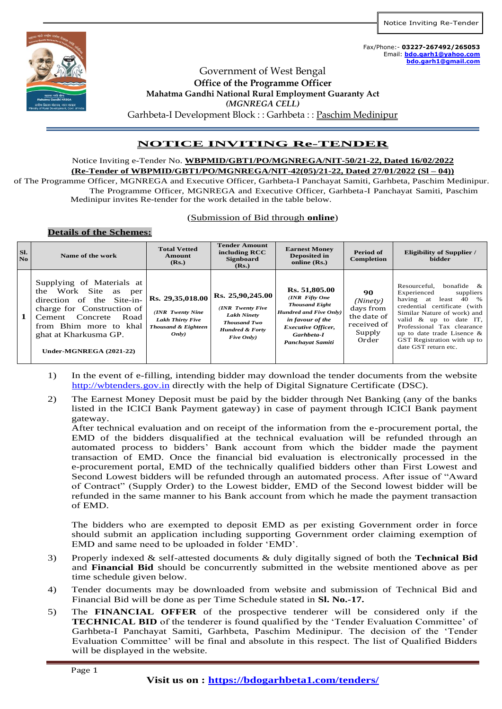Fax/Phone:- **03227-267492/265053** Email: **[bdo.garh1@yahoo.com](mailto:bdo.garh1@yahoo.com) [bdo.garh1@gmail.com](mailto:bdo.garh1@gmail.com)**



Government of West Bengal **Office of the Programme Officer Mahatma Gandhi National Rural Employment Guaranty Act** *(MGNREGA CELL)* Garhbeta-I Development Block : : Garhbeta : : Paschim Medinipur

# **NOTICE INVITING Re-TENDER**

# Notice Inviting e-Tender No. **WBPMID/GBT1/PO/MGNREGA/NIT-50/21-22, Dated 16/02/2022 (Re-Tender of WBPMID/GBT1/PO/MGNREGA/NIT-42(05)/21-22, Dated 27/01/2022 (Sl – 04))**

of The Programme Officer, MGNREGA and Executive Officer, Garhbeta-I Panchayat Samiti, Garhbeta, Paschim Medinipur. The Programme Officer, MGNREGA and Executive Officer, Garhbeta-I Panchayat Samiti, Paschim Medinipur invites Re-tender for the work detailed in the table below.

### (Submission of Bid through **online**)

#### **Details of the Schemes:**

| Sl.<br>No. | Name of the work                                                                                                                                                                                                                     | <b>Total Vetted</b><br>Amount<br>(Rs.)                                                          | Tender Amount<br>including RCC<br>Signboard<br>(Rs.)                                                                          | <b>Earnest Money</b><br>Deposited in<br>online (Rs.)                                                                                                                  | Period of<br>Completion                                                      | <b>Eligibility of Supplier /</b><br><b>bidder</b>                                                                                                                                                                                                                                                                 |
|------------|--------------------------------------------------------------------------------------------------------------------------------------------------------------------------------------------------------------------------------------|-------------------------------------------------------------------------------------------------|-------------------------------------------------------------------------------------------------------------------------------|-----------------------------------------------------------------------------------------------------------------------------------------------------------------------|------------------------------------------------------------------------------|-------------------------------------------------------------------------------------------------------------------------------------------------------------------------------------------------------------------------------------------------------------------------------------------------------------------|
|            | Supplying of Materials at<br>the Work<br>Site<br>as<br>per<br>direction of the<br>Site-in-<br>charge for Construction of<br>Road<br>Concrete<br>Cement<br>from Bhim more to khal<br>ghat at Kharkusma GP.<br>Under-MGNREGA (2021-22) | Rs. 29,35,018.00<br>(INR Twenty Nine<br><b>Lakh Thirty Five</b><br>Thousand & Eighteen<br>Only) | Rs. 25,90,245.00<br>(INR Twenty Five<br><b>Lakh Ninety</b><br><b>Thousand Two</b><br><b>Hundred &amp; Forty</b><br>Five Only) | Rs. 51,805.00<br>(INR Fifty One<br><b>Thousand Eight</b><br>Hundred and Five Only)<br>in favour of the<br><b>Executive Officer,</b><br>Garhbeta-I<br>Panchayat Samiti | 90<br>(Ninety)<br>days from<br>the date of<br>received of<br>Supply<br>Order | Resourceful.<br>bonafide<br>- &<br>Experienced<br>suppliers<br>having at<br>40<br>least<br>$\%$<br>credential certificate (with<br>Similar Nature of work) and<br>valid $\&$ up to date IT,<br>Professional Tax clearance<br>up to date trade Lisence $\&$<br>GST Registration with up to<br>date GST return etc. |

- 1) In the event of e-filling, intending bidder may download the tender documents from the website [http://wbtenders.gov.in](http://wbtenders.gov.in/) directly with the help of Digital Signature Certificate (DSC).
- 2) The Earnest Money Deposit must be paid by the bidder through Net Banking (any of the banks listed in the ICICI Bank Payment gateway) in case of payment through ICICI Bank payment gateway.

After technical evaluation and on receipt of the information from the e-procurement portal, the EMD of the bidders disqualified at the technical evaluation will be refunded through an automated process to bidders' Bank account from which the bidder made the payment transaction of EMD. Once the financial bid evaluation is electronically processed in the e-procurement portal, EMD of the technically qualified bidders other than First Lowest and Second Lowest bidders will be refunded through an automated process. After issue of "Award of Contract" (Supply Order) to the Lowest bidder, EMD of the Second lowest bidder will be refunded in the same manner to his Bank account from which he made the payment transaction of EMD.

The bidders who are exempted to deposit EMD as per existing Government order in force should submit an application including supporting Government order claiming exemption of EMD and same need to be uploaded in folder 'EMD'.

- 3) Properly indexed & self-attested documents & duly digitally signed of both the **Technical Bid**  and **Financial Bid** should be concurrently submitted in the website mentioned above as per time schedule given below.
- 4) Tender documents may be downloaded from website and submission of Technical Bid and Financial Bid will be done as per Time Schedule stated in **Sl. No.-17.**
- 5) The **FINANCIAL OFFER** of the prospective tenderer will be considered only if the **TECHNICAL BID** of the tenderer is found qualified by the 'Tender Evaluation Committee' of Garhbeta-I Panchayat Samiti, Garhbeta, Paschim Medinipur. The decision of the 'Tender Evaluation Committee' will be final and absolute in this respect. The list of Qualified Bidders will be displayed in the website.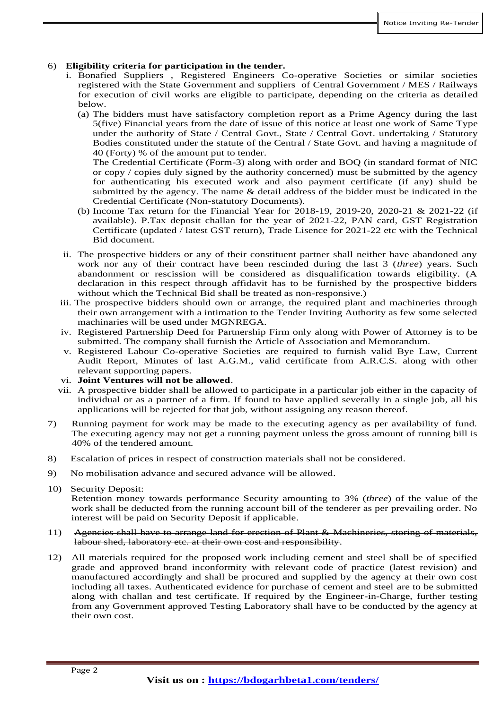### 6) **Eligibility criteria for participation in the tender.**

- i. Bonafied Suppliers , Registered Engineers Co-operative Societies or similar societies registered with the State Government and suppliers of Central Government / MES / Railways for execution of civil works are eligible to participate, depending on the criteria as detailed below.
	- (a) The bidders must have satisfactory completion report as a Prime Agency during the last 5(five) Financial years from the date of issue of this notice at least one work of Same Type under the authority of State / Central Govt., State / Central Govt. undertaking / Statutory Bodies constituted under the statute of the Central / State Govt. and having a magnitude of 40 (Forty) % of the amount put to tender.

The Credential Certificate (Form-3) along with order and BOQ (in standard format of NIC or copy / copies duly signed by the authority concerned) must be submitted by the agency for authenticating his executed work and also payment certificate (if any) shuld be submitted by the agency. The name & detail address of the bidder must be indicated in the Credential Certificate (Non-statutory Documents).

- (b) Income Tax return for the Financial Year for 2018-19, 2019-20, 2020-21 & 2021-22 (if available). P.Tax deposit challan for the year of 2021-22, PAN card, GST Registration Certificate (updated / latest GST return), Trade Lisence for 2021-22 etc with the Technical Bid document.
- ii. The prospective bidders or any of their constituent partner shall neither have abandoned any work nor any of their contract have been rescinded during the last 3 (*three*) years. Such abandonment or rescission will be considered as disqualification towards eligibility. (A declaration in this respect through affidavit has to be furnished by the prospective bidders without which the Technical Bid shall be treated as non-responsive.)
- iii. The prospective bidders should own or arrange, the required plant and machineries through their own arrangement with a intimation to the Tender Inviting Authority as few some selected machinaries will be used under MGNREGA.
- iv. Registered Partnership Deed for Partnership Firm only along with Power of Attorney is to be submitted. The company shall furnish the Article of Association and Memorandum.
- v. Registered Labour Co-operative Societies are required to furnish valid Bye Law, Current Audit Report, Minutes of last A.G.M., valid certificate from A.R.C.S. along with other relevant supporting papers.
- vi. **Joint Ventures will not be allowed**.
- vii. A prospective bidder shall be allowed to participate in a particular job either in the capacity of individual or as a partner of a firm. If found to have applied severally in a single job, all his applications will be rejected for that job, without assigning any reason thereof.
- 7) Running payment for work may be made to the executing agency as per availability of fund. The executing agency may not get a running payment unless the gross amount of running bill is 40% of the tendered amount.
- 8) Escalation of prices in respect of construction materials shall not be considered.
- 9) No mobilisation advance and secured advance will be allowed.
- 10) Security Deposit:

Retention money towards performance Security amounting to 3% (*three*) of the value of the work shall be deducted from the running account bill of the tenderer as per prevailing order. No interest will be paid on Security Deposit if applicable.

- 11) Agencies shall have to arrange land for erection of Plant & Machineries, storing of materials, labour shed, laboratory etc. at their own cost and responsibility.
- 12) All materials required for the proposed work including cement and steel shall be of specified grade and approved brand inconformity with relevant code of practice (latest revision) and manufactured accordingly and shall be procured and supplied by the agency at their own cost including all taxes. Authenticated evidence for purchase of cement and steel are to be submitted along with challan and test certificate. If required by the Engineer-in-Charge, further testing from any Government approved Testing Laboratory shall have to be conducted by the agency at their own cost.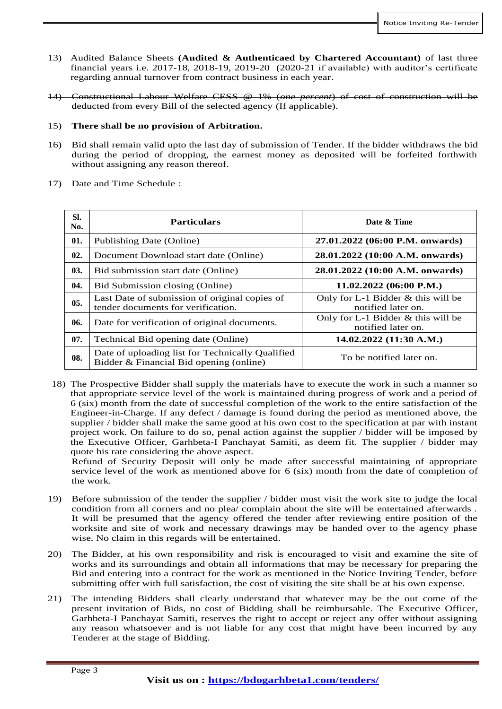- 13) Audited Balance Sheets **(Audited & Authenticaed by Chartered Accountant)** of last three financial years i.e. 2017-18, 2018-19, 2019-20 (2020-21 if available) with auditor's certificate regarding annual turnover from contract business in each year.
- 14) Constructional Labour Welfare CESS @ 1% (*one percent*) of cost of construction will be deducted from every Bill of the selected agency (If applicable).

#### 15) **There shall be no provision of Arbitration.**

- 16) Bid shall remain valid upto the last day of submission of Tender. If the bidder withdraws the bid during the period of dropping, the earnest money as deposited will be forfeited forthwith without assigning any reason thereof.
- 17) Date and Time Schedule :

| SI.<br>No. | <b>Particulars</b>                                                                          | Date & Time                                                |  |
|------------|---------------------------------------------------------------------------------------------|------------------------------------------------------------|--|
| 01.        | Publishing Date (Online)                                                                    | 27.01.2022 (06:00 P.M. onwards)                            |  |
| 02.        | Document Download start date (Online)                                                       | 28.01.2022 (10:00 A.M. onwards)                            |  |
| 03.        | Bid submission start date (Online)                                                          | 28.01.2022 (10:00 A.M. onwards)                            |  |
| 04.        | Bid Submission closing (Online)                                                             | 11.02.2022(06:00 P.M.)                                     |  |
| 05.        | Last Date of submission of original copies of<br>tender documents for verification.         | Only for L-1 Bidder $&$ this will be<br>notified later on. |  |
| 06.        | Date for verification of original documents.                                                | Only for L-1 Bidder $&$ this will be<br>notified later on. |  |
| 07.        | Technical Bid opening date (Online)                                                         | 14.02.2022 (11:30 A.M.)                                    |  |
| 08.        | Date of uploading list for Technically Qualified<br>Bidder & Financial Bid opening (online) | To be notified later on.                                   |  |

18) The Prospective Bidder shall supply the materials have to execute the work in such a manner so that appropriate service level of the work is maintained during progress of work and a period of 6 (six) month from the date of successful completion of the work to the entire satisfaction of the Engineer-in-Charge. If any defect / damage is found during the period as mentioned above, the supplier / bidder shall make the same good at his own cost to the specification at par with instant project work. On failure to do so, penal action against the supplier / bidder will be imposed by the Executive Officer, Garhbeta-I Panchayat Samiti, as deem fit. The supplier / bidder may quote his rate considering the above aspect.

Refund of Security Deposit will only be made after successful maintaining of appropriate service level of the work as mentioned above for 6 (six) month from the date of completion of the work.

- 19) Before submission of the tender the supplier / bidder must visit the work site to judge the local condition from all corners and no plea/ complain about the site will be entertained afterwards . It will be presumed that the agency offered the tender after reviewing entire position of the worksite and site of work and necessary drawings may be handed over to the agency phase wise. No claim in this regards will be entertained.
- 20) The Bidder, at his own responsibility and risk is encouraged to visit and examine the site of works and its surroundings and obtain all informations that may be necessary for preparing the Bid and entering into a contract for the work as mentioned in the Notice Inviting Tender, before submitting offer with full satisfaction, the cost of visiting the site shall be at his own expense.
- 21) The intending Bidders shall clearly understand that whatever may be the out come of the present invitation of Bids, no cost of Bidding shall be reimbursable. The Executive Officer, Garhbeta-I Panchayat Samiti, reserves the right to accept or reject any offer without assigning any reason whatsoever and is not liable for any cost that might have been incurred by any Tenderer at the stage of Bidding.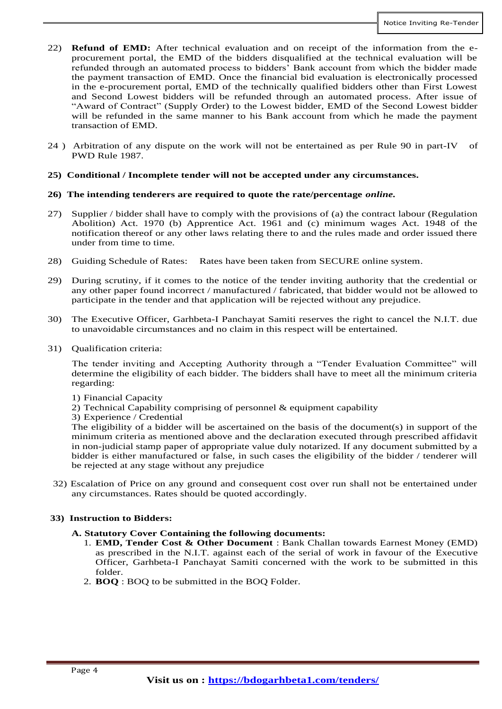- 22) **Refund of EMD:** After technical evaluation and on receipt of the information from the eprocurement portal, the EMD of the bidders disqualified at the technical evaluation will be refunded through an automated process to bidders' Bank account from which the bidder made the payment transaction of EMD. Once the financial bid evaluation is electronically processed in the e-procurement portal, EMD of the technically qualified bidders other than First Lowest and Second Lowest bidders will be refunded through an automated process. After issue of "Award of Contract" (Supply Order) to the Lowest bidder, EMD of the Second Lowest bidder will be refunded in the same manner to his Bank account from which he made the payment transaction of EMD.
- 24 ) Arbitration of any dispute on the work will not be entertained as per Rule 90 in part-IV of PWD Rule 1987.
- **25) Conditional / Incomplete tender will not be accepted under any circumstances.**

#### **26) The intending tenderers are required to quote the rate/percentage** *online.*

- 27) Supplier / bidder shall have to comply with the provisions of (a) the contract labour (Regulation Abolition) Act. 1970 (b) Apprentice Act. 1961 and (c) minimum wages Act. 1948 of the notification thereof or any other laws relating there to and the rules made and order issued there under from time to time.
- 28) Guiding Schedule of Rates: Rates have been taken from SECURE online system.
- 29) During scrutiny, if it comes to the notice of the tender inviting authority that the credential or any other paper found incorrect / manufactured / fabricated, that bidder would not be allowed to participate in the tender and that application will be rejected without any prejudice.
- 30) The Executive Officer, Garhbeta-I Panchayat Samiti reserves the right to cancel the N.I.T. due to unavoidable circumstances and no claim in this respect will be entertained.
- 31) Qualification criteria:

The tender inviting and Accepting Authority through a "Tender Evaluation Committee" will determine the eligibility of each bidder. The bidders shall have to meet all the minimum criteria regarding:

- 1) Financial Capacity
- 2) Technical Capability comprising of personnel & equipment capability
- 3) Experience / Credential

The eligibility of a bidder will be ascertained on the basis of the document(s) in support of the minimum criteria as mentioned above and the declaration executed through prescribed affidavit in non-judicial stamp paper of appropriate value duly notarized. If any document submitted by a bidder is either manufactured or false, in such cases the eligibility of the bidder / tenderer will be rejected at any stage without any prejudice

 32) Escalation of Price on any ground and consequent cost over run shall not be entertained under any circumstances. Rates should be quoted accordingly.

#### **33) Instruction to Bidders:**

#### **A. Statutory Cover Containing the following documents:**

- 1. **EMD, Tender Cost & Other Document** : Bank Challan towards Earnest Money (EMD) as prescribed in the N.I.T. against each of the serial of work in favour of the Executive Officer, Garhbeta-I Panchayat Samiti concerned with the work to be submitted in this folder.
- 2. **BOQ** : BOQ to be submitted in the BOQ Folder.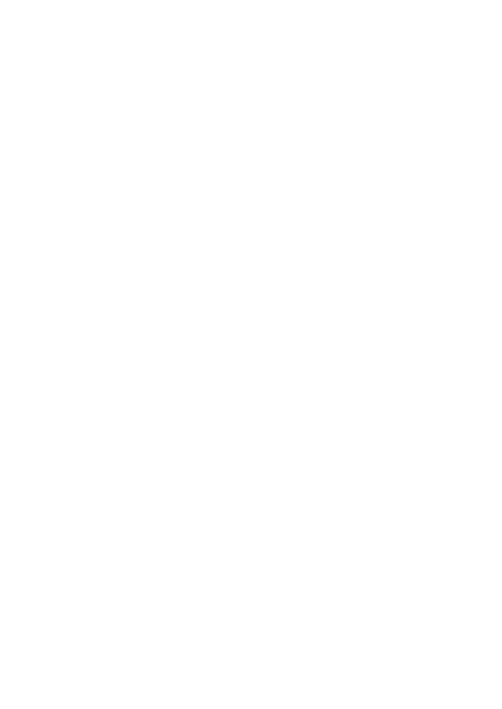# **B. Non-statutory Cover Containing the following documents:**

#### **THE ABOVE STATED NON-STATUTORY/TECHNICAL DOCUMENTS SHOULD BE ARRANGED IN THE FOLLOWING MANNER**

Click the check boxes beside the necessary documents in the My Document list and then click the tab " Submit Non Statutory Documents' to send the selected documents to Non-Statutory folder.

Next Click the tab " Click to Encrypt and upload" and then click the "Technical" Folder to upload the Technical Documents.

| <b>S1.</b><br>No. | <b>Category Name</b>  | Sub-Category<br>Description          | Details(s)                                                                                                                                                                                                                                                                          |
|-------------------|-----------------------|--------------------------------------|-------------------------------------------------------------------------------------------------------------------------------------------------------------------------------------------------------------------------------------------------------------------------------------|
| $\mathsf{A}$ .    | Certificeate(s)       | Certificeate(s)                      | GST Registration Certificate & Acknowledgement.<br>PAN.<br>P Tax (Challan) 2021-22.<br>Latest 3 years IT Return updated.<br>IT-Saral for Assessment of last 3 year updated (Balance)<br>Sheet duly authenticated by CA Firm)                                                        |
| <b>B.</b>         | Company<br>Details(s) | Company Detail                       | Proprietorship Firm ( <i>Trade License</i> ) updated (2021-22)<br>Partnership Firm<br>(Partnership Deed, Trade License)<br>Ltd. Company(Incorporation Certificate, updated Trade<br>License)<br>Society (Society Registration Copy, updated Trade<br>License)<br>Power of Attorney. |
| $\mathbf{C}$ .    | Credential            | $Credential - 1$                     | Resourceful, bonafide & Experienced suppliers having at<br>least 40 % credential certificate (Estimate with Supply<br>Order) of work of similar Type.                                                                                                                               |
| D.                | Financial             | <b>PAYMENT</b><br><b>CERTIFICATE</b> | PAYMENT CERTIFICATE / COMPLETION<br><b>CERTIFICATE MENTIONING AMOUNT OF WORK</b>                                                                                                                                                                                                    |

**Programme Officer & Block Development Officer Mahatma Gandhi NREGA Garhbeta – I Dev. Block**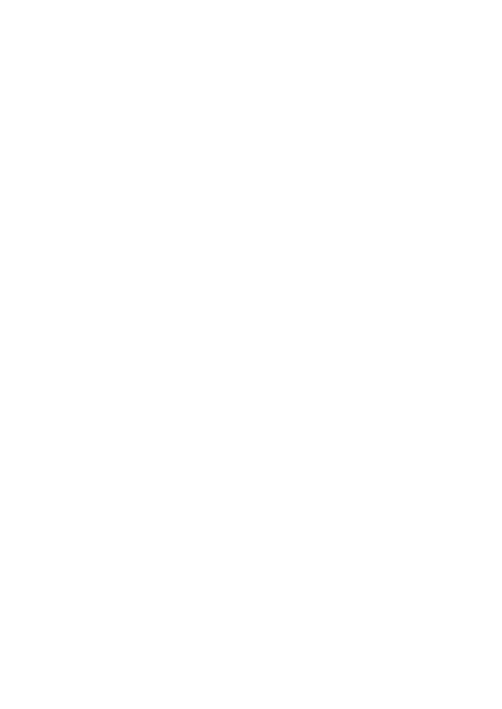# **OTHER TERMS AND CONDITIONS**

- 1. Rate should be quoted in percentage (in ward in figures).
- 2. No payment will be made for unapproved materials.
- 3. Deduction of voids should be made as per PWD Rules for supply of materials.
- 4. The rate as specified in the price schedule including the cost of quarrying, loading, un-loading, carrying, stacking in site, royalty and other taxes etc. complete.
- 5. **Additional Performance Security @10%** of the tendered amount shall be obtained from the successful bidder if the accepted bid value is 80% or less of the Estimate put to tender as per letter of **Additoional Chief Secretary to the Govt. of West Bengal vide Memo No. 4608- F(Y), dated 18th July, 2018.**
- 6. No extra payment will be made for carrying of materials involving head load / trolly etc.
- 7. Work must be completed within schedule time.
- 8. If the accepted tenderer fails to execute on agreement within the date mention in the letter of intimation, his name should be brought into book for taking disciplinary action and his earnest money will stand forfeited.
- 9. Security money  $@$  3% of the value of work done by the concerned supplier  $/$  bidder $/$  agency will be deducted from each R.A bill / Final bill if applicable.
- 10. In case of the accepted tenderer, who has executed the agreement, the earnest money will automatically be converted into security money in the first R.A bill / First and final bill, if desire by the concerned supplier / bidder / Agency. Such security deposit will be refunded on satisfactory completion of the whole work and after covering security period.
	- i. In case of failure to complete the work with in the stipulated time, the earnest money and the security money will be forfeited.
- 11. The Tenderer or his authorized representative must remain present at the time of opening of tender.
- **12. Royalty Clearance Certificate/ Carriage Order/ Road Challan in original is to be submitted by the supplier / bidder with each bill for effecting payment if applicable.**
- 13. Measurement of materials will be taken after making stack as per direction of the Engineer-incharge of the scheme.
- 14. The tenderers must sign on each page of tender form and price schedule before dropping it.
- 15. **There shall be no provision for use of Labour replacement Machinaries (MGNREGA Act 2005)**.
- 16. Bill will be prepared on the basis of measurement of work done and after obtaining satisfactorily report from concerned Sub-Asst. Engineer.

For detailed information, please contract with the MGNREGA section of the office of the Garhbeta-I Development Block in any working day between 11 A.M. to 4 P.M.

> **Programme Officer & Block Development Officer Mahatma Gandhi NREGA Garhbeta – I Dev. Block**